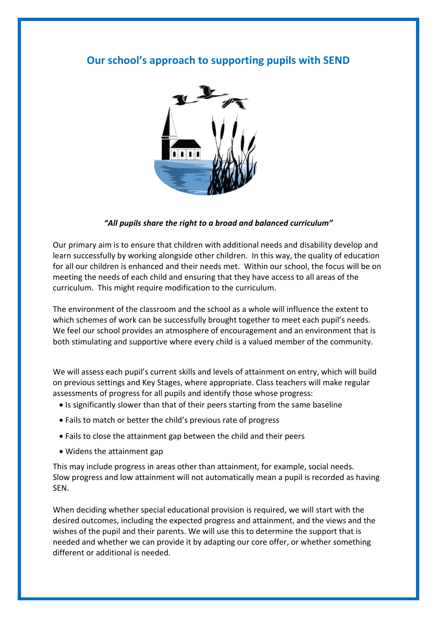## **Our school's approach to supporting pupils with SEND**



## *"All pupils share the right to a broad and balanced curriculum"*

Our primary aim is to ensure that children with additional needs and disability develop and learn successfully by working alongside other children. In this way, the quality of education for all our children is enhanced and their needs met. Within our school, the focus will be on meeting the needs of each child and ensuring that they have access to all areas of the curriculum. This might require modification to the curriculum.

The environment of the classroom and the school as a whole will influence the extent to which schemes of work can be successfully brought together to meet each pupil's needs. We feel our school provides an atmosphere of encouragement and an environment that is both stimulating and supportive where every child is a valued member of the community.

We will assess each pupil's current skills and levels of attainment on entry, which will build on previous settings and Key Stages, where appropriate. Class teachers will make regular assessments of progress for all pupils and identify those whose progress:

- Is significantly slower than that of their peers starting from the same baseline
- Fails to match or better the child's previous rate of progress
- Fails to close the attainment gap between the child and their peers
- Widens the attainment gap

This may include progress in areas other than attainment, for example, social needs. Slow progress and low attainment will not automatically mean a pupil is recorded as having SEN.

When deciding whether special educational provision is required, we will start with the desired outcomes, including the expected progress and attainment, and the views and the wishes of the pupil and their parents. We will use this to determine the support that is needed and whether we can provide it by adapting our core offer, or whether something different or additional is needed.